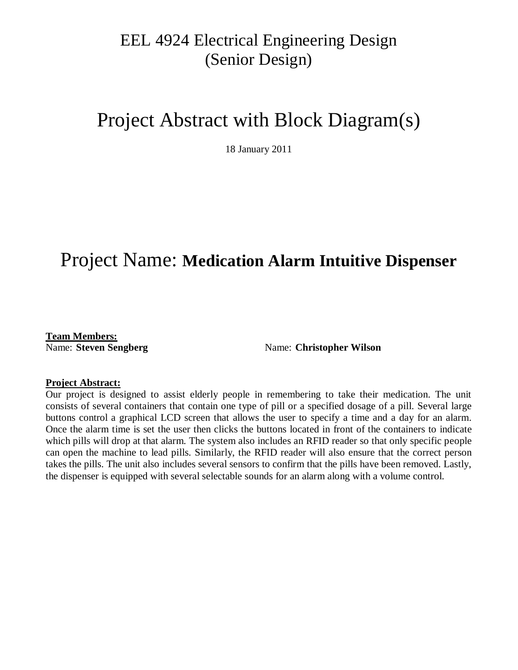## EEL 4924 Electrical Engineering Design (Senior Design)

# Project Abstract with Block Diagram(s)

18 January 2011

## Project Name: **Medication Alarm Intuitive Dispenser**

**Team Members:**

Name: **Steven Sengberg** Name: **Christopher Wilson** 

#### **Project Abstract:**

Our project is designed to assist elderly people in remembering to take their medication. The unit consists of several containers that contain one type of pill or a specified dosage of a pill. Several large buttons control a graphical LCD screen that allows the user to specify a time and a day for an alarm. Once the alarm time is set the user then clicks the buttons located in front of the containers to indicate which pills will drop at that alarm. The system also includes an RFID reader so that only specific people can open the machine to lead pills. Similarly, the RFID reader will also ensure that the correct person takes the pills. The unit also includes several sensors to confirm that the pills have been removed. Lastly, the dispenser is equipped with several selectable sounds for an alarm along with a volume control.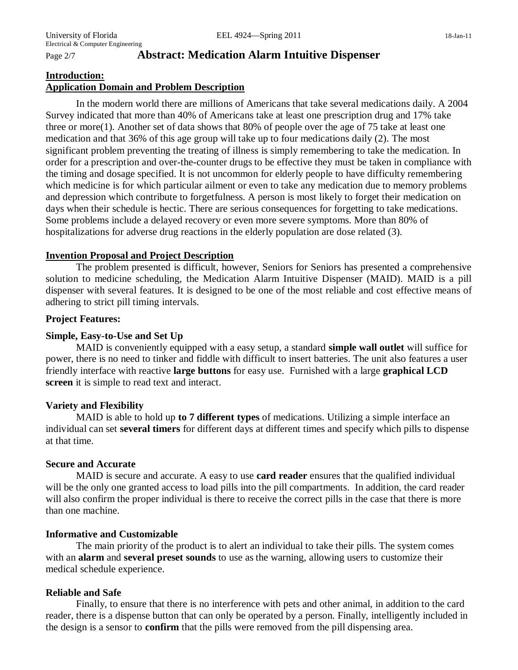#### Page 2/7 **Abstract: Medication Alarm Intuitive Dispenser**

#### **Introduction: Application Domain and Problem Description**

In the modern world there are millions of Americans that take several medications daily. A 2004 Survey indicated that more than 40% of Americans take at least one prescription drug and 17% take three or more(1). Another set of data shows that 80% of people over the age of 75 take at least one medication and that 36% of this age group will take up to four medications daily (2). The most significant problem preventing the treating of illness is simply remembering to take the medication. In order for a prescription and over-the-counter drugs to be effective they must be taken in compliance with the timing and dosage specified. It is not uncommon for elderly people to have difficulty remembering which medicine is for which particular ailment or even to take any medication due to memory problems and depression which contribute to forgetfulness. A person is most likely to forget their medication on days when their schedule is hectic. There are serious consequences for forgetting to take medications. Some problems include a delayed recovery or even more severe symptoms. More than 80% of hospitalizations for adverse drug reactions in the elderly population are dose related (3).

#### **Invention Proposal and Project Description**

The problem presented is difficult, however, Seniors for Seniors has presented a comprehensive solution to medicine scheduling, the Medication Alarm Intuitive Dispenser (MAID). MAID is a pill dispenser with several features. It is designed to be one of the most reliable and cost effective means of adhering to strict pill timing intervals.

#### **Project Features:**

#### **Simple, Easy-to-Use and Set Up**

MAID is conveniently equipped with a easy setup, a standard **simple wall outlet** will suffice for power, there is no need to tinker and fiddle with difficult to insert batteries. The unit also features a user friendly interface with reactive **large buttons** for easy use. Furnished with a large **graphical LCD screen** it is simple to read text and interact.

#### **Variety and Flexibility**

MAID is able to hold up **to 7 different types** of medications. Utilizing a simple interface an individual can set **several timers** for different days at different times and specify which pills to dispense at that time.

#### **Secure and Accurate**

MAID is secure and accurate. A easy to use **card reader** ensures that the qualified individual will be the only one granted access to load pills into the pill compartments. In addition, the card reader will also confirm the proper individual is there to receive the correct pills in the case that there is more than one machine.

#### **Informative and Customizable**

The main priority of the product is to alert an individual to take their pills. The system comes with an **alarm** and **several preset sounds** to use as the warning, allowing users to customize their medical schedule experience.

#### **Reliable and Safe**

Finally, to ensure that there is no interference with pets and other animal, in addition to the card reader, there is a dispense button that can only be operated by a person. Finally, intelligently included in the design is a sensor to **confirm** that the pills were removed from the pill dispensing area.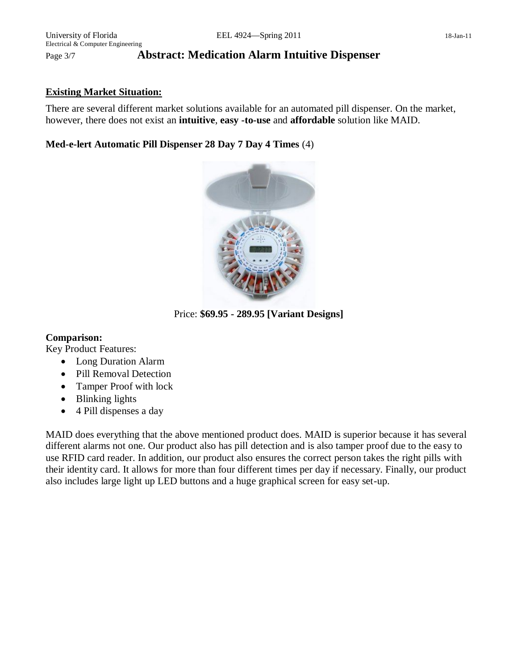#### Page 3/7 **Abstract: Medication Alarm Intuitive Dispenser**

#### **Existing Market Situation:**

There are several different market solutions available for an automated pill dispenser. On the market, however, there does not exist an **intuitive**, **easy -to-use** and **affordable** solution like MAID.

**Med-e-lert Automatic Pill Dispenser 28 Day 7 Day 4 Times** (4)



Price: **\$69.95 - 289.95 [Variant Designs]**

#### **Comparison:**

Key Product Features:

- Long Duration Alarm
- Pill Removal Detection
- Tamper Proof with lock
- Blinking lights
- 4 Pill dispenses a day

MAID does everything that the above mentioned product does. MAID is superior because it has several different alarms not one. Our product also has pill detection and is also tamper proof due to the easy to use RFID card reader. In addition, our product also ensures the correct person takes the right pills with their identity card. It allows for more than four different times per day if necessary. Finally, our product also includes large light up LED buttons and a huge graphical screen for easy set-up.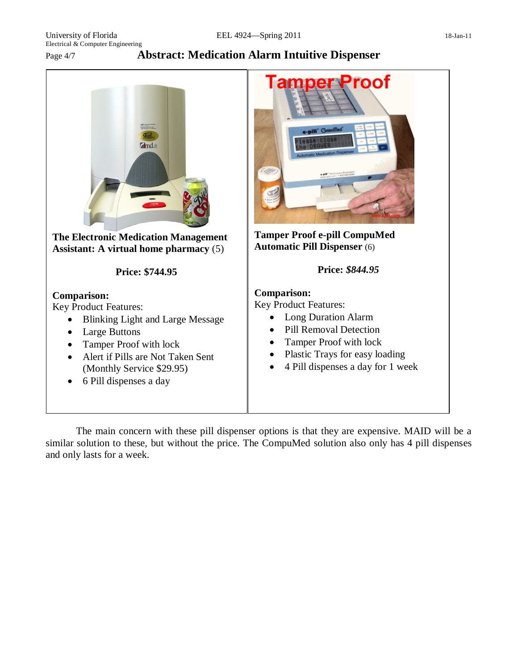University of Florida **EEL 4924—Spring 2011** 18-Jan-11 Electrical & Computer Engineering

Page 4/7 **Abstract: Medication Alarm Intuitive Dispenser**



The main concern with these pill dispenser options is that they are expensive. MAID will be a similar solution to these, but without the price. The CompuMed solution also only has 4 pill dispenses and only lasts for a week.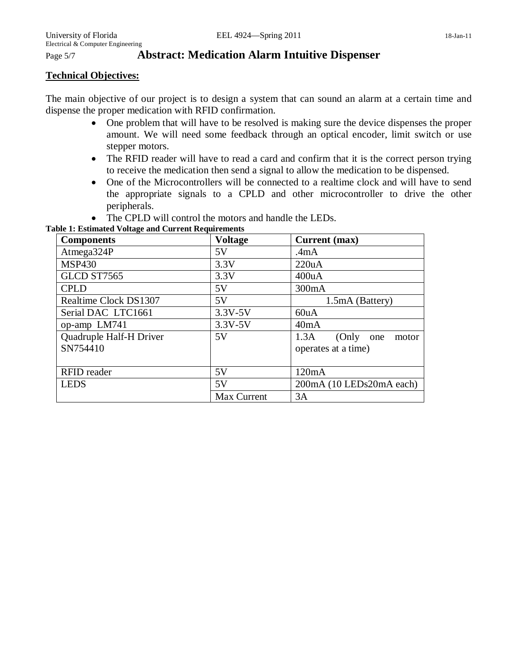#### Page 5/7 **Abstract: Medication Alarm Intuitive Dispenser**

#### **Technical Objectives:**

The main objective of our project is to design a system that can sound an alarm at a certain time and dispense the proper medication with RFID confirmation.

- One problem that will have to be resolved is making sure the device dispenses the proper amount. We will need some feedback through an optical encoder, limit switch or use stepper motors.
- The RFID reader will have to read a card and confirm that it is the correct person trying to receive the medication then send a signal to allow the medication to be dispensed.
- One of the Microcontrollers will be connected to a realtime clock and will have to send the appropriate signals to a CPLD and other microcontroller to drive the other peripherals.
- The CPLD will control the motors and handle the LEDs.

**Table 1: Estimated Voltage and Current Requirements**

| <b>Components</b>                   | <b>Voltage</b> | Current (max)                                     |
|-------------------------------------|----------------|---------------------------------------------------|
| Atmega324P                          | 5V             | .4 <sub>m</sub> A                                 |
| <b>MSP430</b>                       | 3.3V           | 220uA                                             |
| GLCD ST7565                         | 3.3V           | 400uA                                             |
| <b>CPLD</b>                         | 5V             | 300mA                                             |
| Realtime Clock DS1307               | 5V             | 1.5mA (Battery)                                   |
| Serial DAC LTC1661                  | $3.3V - 5V$    | 60uA                                              |
| op-amp LM741                        | $3.3V - 5V$    | 40mA                                              |
| Quadruple Half-H Driver<br>SN754410 | 5V             | 1.3A<br>(Only one<br>motor<br>operates at a time) |
| <b>RFID</b> reader                  | 5V             | 120mA                                             |
| <b>LEDS</b>                         | 5V             | 200mA (10 LEDs20mA each)                          |
|                                     | Max Current    | 3A                                                |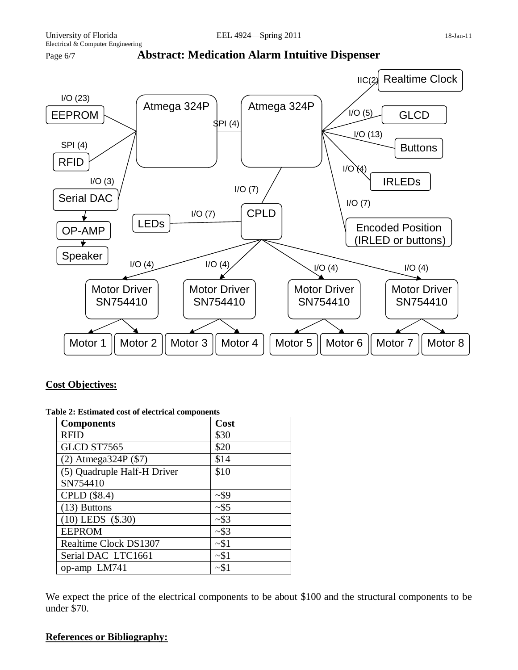



#### **Cost Objectives:**

| <b>Components</b>           | Cost     |
|-----------------------------|----------|
| <b>RFID</b>                 | \$30     |
| GLCD ST7565                 | \$20     |
| $(2)$ Atmega324P $($ \$7)   | \$14     |
| (5) Quadruple Half-H Driver | \$10     |
| SN754410                    |          |
| CPLD (\$8.4)                | $-$ \$9  |
| $(13)$ Buttons              | ~1.55    |
| $(10)$ LEDS $($ \$.30)      | $~2$ \$3 |
| <b>EEPROM</b>               | ~2\$3    |
| Realtime Clock DS1307       | ~1       |
| Serial DAC LTC1661          | ~1       |
| op-amp LM741                | ~1       |

#### **Table 2: Estimated cost of electrical components**

We expect the price of the electrical components to be about \$100 and the structural components to be under \$70.

#### **References or Bibliography:**